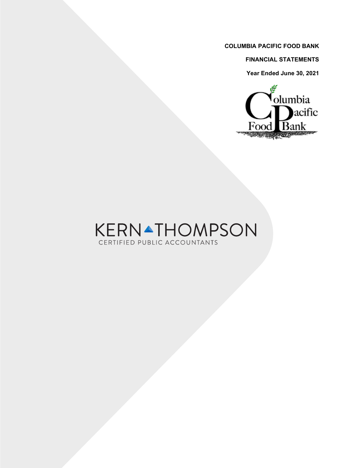**FINANCIAL STATEMENTS**

**Year Ended June 30, 2021**



# KERNATHOMPSON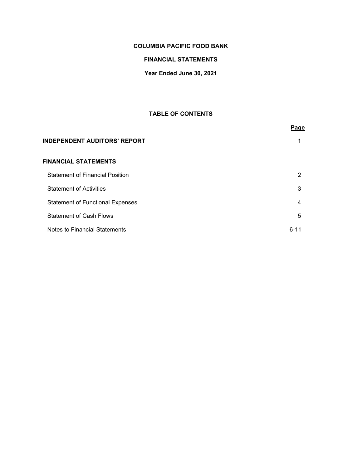# **FINANCIAL STATEMENTS**

**Year Ended June 30, 2021**

# **TABLE OF CONTENTS**

|                                         | Page     |
|-----------------------------------------|----------|
| <b>INDEPENDENT AUDITORS' REPORT</b>     | 1        |
| FINANCIAL STATEMENTS                    |          |
| <b>Statement of Financial Position</b>  | 2        |
| <b>Statement of Activities</b>          | 3        |
| <b>Statement of Functional Expenses</b> | 4        |
| <b>Statement of Cash Flows</b>          | 5        |
| Notes to Financial Statements           | $6 - 11$ |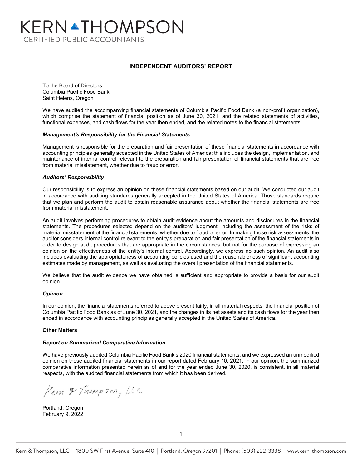# KERNATHOMPSON **CERTIFIED PUBLIC ACCOUNTANTS**

#### **INDEPENDENT AUDITORS' REPORT**

To the Board of Directors Columbia Pacific Food Bank Saint Helens, Oregon

We have audited the accompanying financial statements of Columbia Pacific Food Bank (a non-profit organization), which comprise the statement of financial position as of June 30, 2021, and the related statements of activities, functional expenses, and cash flows for the year then ended, and the related notes to the financial statements.

#### *Management's Responsibility for the Financial Statements*

Management is responsible for the preparation and fair presentation of these financial statements in accordance with accounting principles generally accepted in the United States of America; this includes the design, implementation, and maintenance of internal control relevant to the preparation and fair presentation of financial statements that are free from material misstatement, whether due to fraud or error.

#### *Auditors' Responsibility*

Our responsibility is to express an opinion on these financial statements based on our audit. We conducted our audit in accordance with auditing standards generally accepted in the United States of America. Those standards require that we plan and perform the audit to obtain reasonable assurance about whether the financial statements are free from material misstatement.

An audit involves performing procedures to obtain audit evidence about the amounts and disclosures in the financial statements. The procedures selected depend on the auditors' judgment, including the assessment of the risks of material misstatement of the financial statements, whether due to fraud or error. In making those risk assessments, the auditor considers internal control relevant to the entity's preparation and fair presentation of the financial statements in order to design audit procedures that are appropriate in the circumstances, but not for the purpose of expressing an opinion on the effectiveness of the entity's internal control. Accordingly, we express no such opinion. An audit also includes evaluating the appropriateness of accounting policies used and the reasonableness of significant accounting estimates made by management, as well as evaluating the overall presentation of the financial statements.

We believe that the audit evidence we have obtained is sufficient and appropriate to provide a basis for our audit opinion.

#### *Opinion*

In our opinion, the financial statements referred to above present fairly, in all material respects, the financial position of Columbia Pacific Food Bank as of June 30, 2021, and the changes in its net assets and its cash flows for the year then ended in accordance with accounting principles generally accepted in the United States of America.

#### **Other Matters**

#### *Report on Summarized Comparative Information*

We have previously audited Columbia Pacific Food Bank's 2020 financial statements, and we expressed an unmodified opinion on those audited financial statements in our report dated February 10, 2021. In our opinion, the summarized comparative information presented herein as of and for the year ended June 30, 2020, is consistent, in all material respects, with the audited financial statements from which it has been derived.

Kern & Thompson, L.C.

Portland, Oregon February 9, 2022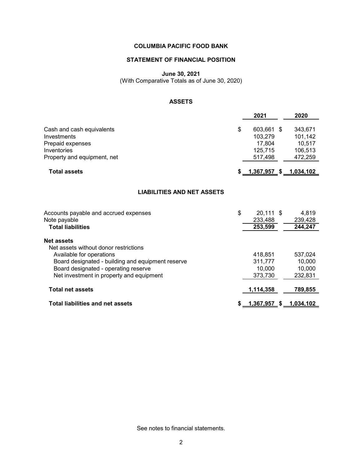# **STATEMENT OF FINANCIAL POSITION**

**June 30, 2021**

(With Comparative Totals as of June 30, 2020)

# **ASSETS**

|                                                                                                                                                                                                                                 | 2021                                                        | 2020                                               |
|---------------------------------------------------------------------------------------------------------------------------------------------------------------------------------------------------------------------------------|-------------------------------------------------------------|----------------------------------------------------|
| Cash and cash equivalents<br>Investments<br>Prepaid expenses<br>Inventories<br>Property and equipment, net                                                                                                                      | \$<br>603,661 \$<br>103,279<br>17,804<br>125,715<br>517.498 | 343,671<br>101,142<br>10,517<br>106,513<br>472.259 |
| <b>Total assets</b>                                                                                                                                                                                                             | \$ <u>__1,367,957_\$__1,034,102</u>                         |                                                    |
| <b>LIABILITIES AND NET ASSETS</b>                                                                                                                                                                                               |                                                             |                                                    |
| Accounts payable and accrued expenses<br>Note payable<br><b>Total liabilities</b>                                                                                                                                               | \$<br>$20,111$ \$<br>233,488<br>253,599                     | 4,819<br>239,428<br>244,247                        |
| <b>Net assets</b><br>Net assets without donor restrictions<br>Available for operations<br>Board designated - building and equipment reserve<br>Board designated - operating reserve<br>Net investment in property and equipment | 418,851<br>311,777<br>10,000<br>373,730                     | 537,024<br>10,000<br>10,000<br>232,831             |
| <b>Total net assets</b>                                                                                                                                                                                                         | 1,114,358                                                   | 789,855                                            |
| <b>Total liabilities and net assets</b>                                                                                                                                                                                         | <u>1,367,957 \$ 1,034,102</u>                               |                                                    |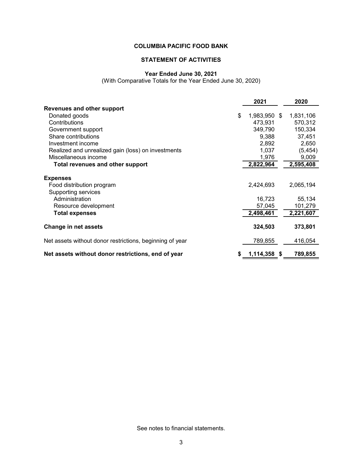# **STATEMENT OF ACTIVITIES**

# **Year Ended June 30, 2021**

(With Comparative Totals for the Year Ended June 30, 2020)

|                                                          | 2021         | 2020      |
|----------------------------------------------------------|--------------|-----------|
| <b>Revenues and other support</b>                        |              |           |
| \$<br>Donated goods                                      | 1,983,950 \$ | 1,831,106 |
| Contributions                                            | 473,931      | 570,312   |
| Government support                                       | 349,790      | 150,334   |
| Share contributions                                      | 9,388        | 37,451    |
| Investment income                                        | 2,892        | 2,650     |
| Realized and unrealized gain (loss) on investments       | 1,037        | (5, 454)  |
| Miscellaneous income                                     | 1,976        | 9,009     |
| Total revenues and other support                         | 2,822,964    | 2,595,408 |
| <b>Expenses</b>                                          |              |           |
| Food distribution program                                | 2,424,693    | 2,065,194 |
| Supporting services                                      |              |           |
| Administration                                           | 16,723       | 55,134    |
| Resource development                                     | 57,045       | 101,279   |
| <b>Total expenses</b>                                    | 2,498,461    | 2,221,607 |
| <b>Change in net assets</b>                              | 324,503      | 373,801   |
| Net assets without donor restrictions, beginning of year | 789,855      | 416,054   |
| Net assets without donor restrictions, end of year       | 1,114,358 \$ | 789,855   |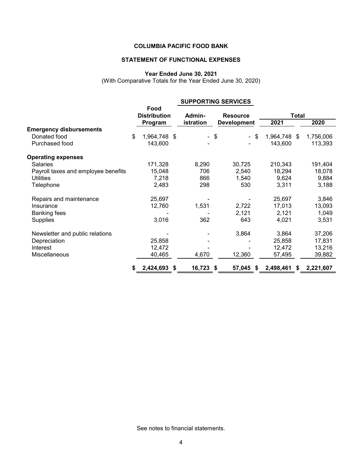# **STATEMENT OF FUNCTIONAL EXPENSES**

### **Year Ended June 30, 2021**

(With Comparative Totals for the Year Ended June 30, 2020)

|                                     |    | <b>SUPPORTING SERVICES</b>             |  |                     |                                       |             |                      |    |           |
|-------------------------------------|----|----------------------------------------|--|---------------------|---------------------------------------|-------------|----------------------|----|-----------|
|                                     |    | Food<br><b>Distribution</b><br>Program |  | Admin-<br>istration | <b>Resource</b><br><b>Development</b> |             | <b>Total</b><br>2021 |    | 2020      |
| <b>Emergency disbursements</b>      |    |                                        |  |                     |                                       |             |                      |    |           |
| Donated food                        | \$ | 1,964,748 \$                           |  |                     | \$                                    | - \$        | 1,964,748 \$         |    | 1,756,006 |
| Purchased food                      |    | 143,600                                |  |                     |                                       |             | 143,600              |    | 113,393   |
| <b>Operating expenses</b>           |    |                                        |  |                     |                                       |             |                      |    |           |
| <b>Salaries</b>                     |    | 171,328                                |  | 8,290               |                                       | 30,725      | 210,343              |    | 191,404   |
| Payroll taxes and employee benefits |    | 15,048                                 |  | 706                 |                                       | 2,540       | 18,294               |    | 18,078    |
| <b>Utilities</b>                    |    | 7,218                                  |  | 866                 |                                       | 1,540       | 9,624                |    | 9,884     |
| Telephone                           |    | 2,483                                  |  | 298                 |                                       | 530         | 3,311                |    | 3,188     |
| Repairs and maintenance             |    | 25,697                                 |  |                     |                                       |             | 25,697               |    | 3,846     |
| Insurance                           |    | 12,760                                 |  | 1,531               |                                       | 2,722       | 17,013               |    | 13,093    |
| <b>Banking fees</b>                 |    |                                        |  |                     |                                       | 2,121       | 2,121                |    | 1,049     |
| Supplies                            |    | 3,016                                  |  | 362                 |                                       | 643         | 4,021                |    | 3,531     |
| Newsletter and public relations     |    |                                        |  |                     |                                       | 3,864       | 3,864                |    | 37,206    |
| Depreciation                        |    | 25,858                                 |  |                     |                                       |             | 25,858               |    | 17,831    |
| Interest                            |    | 12,472                                 |  |                     |                                       |             | 12,472               |    | 13,216    |
| <b>Miscellaneous</b>                |    | 40,465                                 |  | 4,670               |                                       | 12,360      | 57,495               |    | 39,882    |
|                                     | 55 | 2,424,693 \$                           |  | 16,723              | - \$                                  | 57,045<br>S | 2,498,461            | S. | 2,221,607 |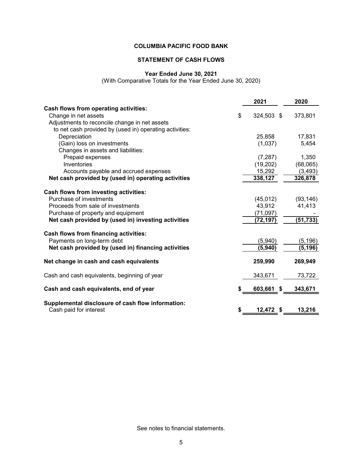# **STATEMENT OF CASH FLOWS**

# **Year Ended June 30, 2021**

(With Comparative Totals for the Year Ended June 30, 2020)

|                                                         |    | 2021       | 2020      |
|---------------------------------------------------------|----|------------|-----------|
| <b>Cash flows from operating activities:</b>            |    |            |           |
| Change in net assets                                    | \$ | 324,503 \$ | 373,801   |
| Adjustments to reconcile change in net assets           |    |            |           |
| to net cash provided by (used in) operating activities: |    |            |           |
| Depreciation                                            |    | 25,858     | 17,831    |
| (Gain) loss on investments                              |    | (1,037)    | 5,454     |
| Changes in assets and liabilities:                      |    |            |           |
| Prepaid expenses                                        |    | (7, 287)   | 1,350     |
| Inventories                                             |    | (19, 202)  | (68,065)  |
| Accounts payable and accrued expenses                   |    | 15,292     | (3, 493)  |
| Net cash provided by (used in) operating activities     |    | 338,127    | 326,878   |
| Cash flows from investing activities:                   |    |            |           |
| Purchase of investments                                 |    | (45, 012)  | (93, 146) |
| Proceeds from sale of investments                       |    | 43,912     | 41,413    |
| Purchase of property and equipment                      |    | (71, 097)  |           |
| Net cash provided by (used in) investing activities     |    | (72, 197)  | (51, 733) |
| Cash flows from financing activities:                   |    |            |           |
| Payments on long-term debt                              |    | (5,940)    | (5, 196)  |
| Net cash provided by (used in) financing activities     |    | (5,940)    | (5, 196)  |
| Net change in cash and cash equivalents                 |    | 259,990    | 269,949   |
| Cash and cash equivalents, beginning of year            |    | 343,671    | 73,722    |
| Cash and cash equivalents, end of year                  |    | 603,661 \$ | 343,671   |
| Supplemental disclosure of cash flow information:       |    |            |           |
| Cash paid for interest                                  | S  | 12,472 \$  | 13,216    |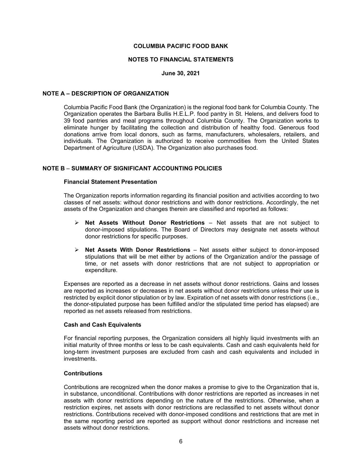#### **NOTES TO FINANCIAL STATEMENTS**

#### **June 30, 2021**

#### **NOTE A – DESCRIPTION OF ORGANIZATION**

Columbia Pacific Food Bank (the Organization) is the regional food bank for Columbia County. The Organization operates the Barbara Bullis H.E.L.P. food pantry in St. Helens, and delivers food to 39 food pantries and meal programs throughout Columbia County. The Organization works to eliminate hunger by facilitating the collection and distribution of healthy food. Generous food donations arrive from local donors, such as farms, manufacturers, wholesalers, retailers, and individuals. The Organization is authorized to receive commodities from the United States Department of Agriculture (USDA). The Organization also purchases food.

#### **NOTE B** – **SUMMARY OF SIGNIFICANT ACCOUNTING POLICIES**

#### **Financial Statement Presentation**

The Organization reports information regarding its financial position and activities according to two classes of net assets: without donor restrictions and with donor restrictions. Accordingly, the net assets of the Organization and changes therein are classified and reported as follows:

- **Net Assets Without Donor Restrictions**  Net assets that are not subject to donor-imposed stipulations. The Board of Directors may designate net assets without donor restrictions for specific purposes.
- **Net Assets With Donor Restrictions** Net assets either subject to donor-imposed stipulations that will be met either by actions of the Organization and/or the passage of time, or net assets with donor restrictions that are not subject to appropriation or expenditure.

Expenses are reported as a decrease in net assets without donor restrictions. Gains and losses are reported as increases or decreases in net assets without donor restrictions unless their use is restricted by explicit donor stipulation or by law. Expiration of net assets with donor restrictions (i.e., the donor-stipulated purpose has been fulfilled and/or the stipulated time period has elapsed) are reported as net assets released from restrictions.

#### **Cash and Cash Equivalents**

For financial reporting purposes, the Organization considers all highly liquid investments with an initial maturity of three months or less to be cash equivalents. Cash and cash equivalents held for long-term investment purposes are excluded from cash and cash equivalents and included in investments.

#### **Contributions**

Contributions are recognized when the donor makes a promise to give to the Organization that is, in substance, unconditional. Contributions with donor restrictions are reported as increases in net assets with donor restrictions depending on the nature of the restrictions. Otherwise, when a restriction expires, net assets with donor restrictions are reclassified to net assets without donor restrictions. Contributions received with donor-imposed conditions and restrictions that are met in the same reporting period are reported as support without donor restrictions and increase net assets without donor restrictions.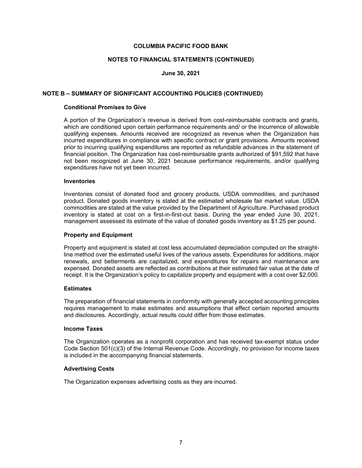#### **NOTES TO FINANCIAL STATEMENTS (CONTINUED)**

#### **June 30, 2021**

#### **NOTE B – SUMMARY OF SIGNIFICANT ACCOUNTING POLICIES (CONTINUED)**

#### **Conditional Promises to Give**

A portion of the Organization's revenue is derived from cost-reimbursable contracts and grants, which are conditioned upon certain performance requirements and/ or the incurrence of allowable qualifying expenses. Amounts received are recognized as revenue when the Organization has incurred expenditures in compliance with specific contract or grant provisions. Amounts received prior to incurring qualifying expenditures are reported as refundable advances in the statement of financial position. The Organization has cost-reimbursable grants authorized of \$91,592 that have not been recognized at June 30, 2021 because performance requirements, and/or qualifying expenditures have not yet been incurred.

#### **Inventories**

Inventories consist of donated food and grocery products, USDA commodities, and purchased product. Donated goods inventory is stated at the estimated wholesale fair market value. USDA commodities are stated at the value provided by the Department of Agriculture. Purchased product inventory is stated at cost on a first-in-first-out basis. During the year ended June 30, 2021, management assessed its estimate of the value of donated goods inventory as \$1.25 per pound.

#### **Property and Equipment**

Property and equipment is stated at cost less accumulated depreciation computed on the straightline method over the estimated useful lives of the various assets. Expenditures for additions, major renewals, and betterments are capitalized, and expenditures for repairs and maintenance are expensed. Donated assets are reflected as contributions at their estimated fair value at the date of receipt. It is the Organization's policy to capitalize property and equipment with a cost over \$2,000.

#### **Estimates**

The preparation of financial statements in conformity with generally accepted accounting principles requires management to make estimates and assumptions that effect certain reported amounts and disclosures. Accordingly, actual results could differ from those estimates.

#### **Income Taxes**

The Organization operates as a nonprofit corporation and has received tax-exempt status under Code Section 501(c)(3) of the Internal Revenue Code. Accordingly, no provision for income taxes is included in the accompanying financial statements.

#### **Advertising Costs**

The Organization expenses advertising costs as they are incurred.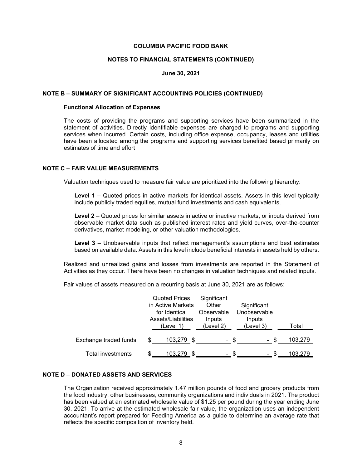#### **NOTES TO FINANCIAL STATEMENTS (CONTINUED)**

#### **June 30, 2021**

#### **NOTE B – SUMMARY OF SIGNIFICANT ACCOUNTING POLICIES (CONTINUED)**

#### **Functional Allocation of Expenses**

The costs of providing the programs and supporting services have been summarized in the statement of activities. Directly identifiable expenses are charged to programs and supporting services when incurred. Certain costs, including office expense, occupancy, leases and utilities have been allocated among the programs and supporting services benefited based primarily on estimates of time and effort

#### **NOTE C – FAIR VALUE MEASUREMENTS**

Valuation techniques used to measure fair value are prioritized into the following hierarchy:

**Level 1** – Quoted prices in active markets for identical assets. Assets in this level typically include publicly traded equities, mutual fund investments and cash equivalents.

**Level 2** – Quoted prices for similar assets in active or inactive markets, or inputs derived from observable market data such as published interest rates and yield curves, over-the-counter derivatives, market modeling, or other valuation methodologies.

**Level 3** – Unobservable inputs that reflect management's assumptions and best estimates based on available data. Assets in this level include beneficial interests in assets held by others.

Realized and unrealized gains and losses from investments are reported in the Statement of Activities as they occur. There have been no changes in valuation techniques and related inputs.

Fair values of assets measured on a recurring basis at June 30, 2021 are as follows:

|                       | <b>Quoted Prices</b><br>in Active Markets<br>for Identical<br>Assets/Liabilities | Significant<br>Other<br>Observable<br>Inputs | Significant<br>Unobservable<br>Inputs |         |
|-----------------------|----------------------------------------------------------------------------------|----------------------------------------------|---------------------------------------|---------|
|                       | (Level 1)                                                                        | (Level 2)                                    | (Level 3)                             | Total   |
| Exchange traded funds | 103,279 \$<br>S                                                                  | - \$                                         | -S<br>$\blacksquare$                  | 103,279 |
| Total investments     | S<br>103.279                                                                     | -S                                           |                                       | 103.279 |

#### **NOTE D – DONATED ASSETS AND SERVICES**

The Organization received approximately 1.47 million pounds of food and grocery products from the food industry, other businesses, community organizations and individuals in 2021. The product has been valued at an estimated wholesale value of \$1.25 per pound during the year ending June 30, 2021. To arrive at the estimated wholesale fair value, the organization uses an independent accountant's report prepared for Feeding America as a guide to determine an average rate that reflects the specific composition of inventory held.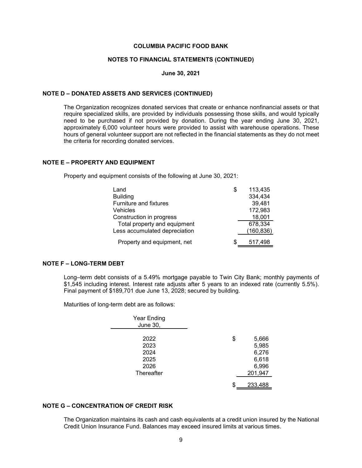#### **NOTES TO FINANCIAL STATEMENTS (CONTINUED)**

#### **June 30, 2021**

#### **NOTE D – DONATED ASSETS AND SERVICES (CONTINUED)**

The Organization recognizes donated services that create or enhance nonfinancial assets or that require specialized skills, are provided by individuals possessing those skills, and would typically need to be purchased if not provided by donation. During the year ending June 30, 2021, approximately 6,000 volunteer hours were provided to assist with warehouse operations. These hours of general volunteer support are not reflected in the financial statements as they do not meet the criteria for recording donated services.

#### **NOTE E – PROPERTY AND EQUIPMENT**

Property and equipment consists of the following at June 30, 2021:

| Land                          | S | 113,435    |
|-------------------------------|---|------------|
| <b>Building</b>               |   | 334,434    |
| Furniture and fixtures        |   | 39,481     |
| Vehicles                      |   | 172,983    |
| Construction in progress      |   | 18,001     |
| Total property and equipment  |   | 678,334    |
| Less accumulated depreciation |   | (160, 836) |
| Property and equipment, net   |   | 517.498    |

#### **NOTE F – LONG-TERM DEBT**

Long–term debt consists of a 5.49% mortgage payable to Twin City Bank; monthly payments of \$1,545 including interest. Interest rate adjusts after 5 years to an indexed rate (currently 5.5%). Final payment of \$189,701 due June 13, 2028; secured by building.

Maturities of long-term debt are as follows:

| Year Ending     |             |
|-----------------|-------------|
| <b>June 30,</b> |             |
|                 |             |
| 2022            | \$<br>5,666 |
| 2023            | 5,985       |
| 2024            | 6,276       |
| 2025            | 6,618       |
| 2026            | 6,996       |
| Thereafter      | 201,947     |
|                 | 233,488     |
|                 |             |

# **NOTE G – CONCENTRATION OF CREDIT RISK**

The Organization maintains its cash and cash equivalents at a credit union insured by the National Credit Union Insurance Fund. Balances may exceed insured limits at various times.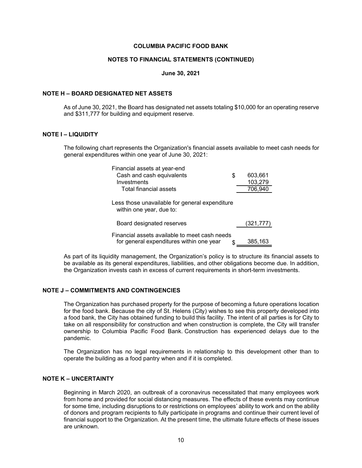#### **NOTES TO FINANCIAL STATEMENTS (CONTINUED)**

#### **June 30, 2021**

#### **NOTE H – BOARD DESIGNATED NET ASSETS**

As of June 30, 2021, the Board has designated net assets totaling \$10,000 for an operating reserve and \$311,777 for building and equipment reserve.

#### **NOTE I – LIQUIDITY**

The following chart represents the Organization's financial assets available to meet cash needs for general expenditures within one year of June 30, 2021:

| Financial assets at year-end<br>Cash and cash equivalents<br>Investments                  | S | 603,661<br>103,279 |
|-------------------------------------------------------------------------------------------|---|--------------------|
| Total financial assets                                                                    |   | 706,940            |
| Less those unavailable for general expenditure<br>within one year, due to:                |   |                    |
| Board designated reserves                                                                 |   | (321, 777)         |
| Financial assets available to meet cash needs<br>for general expenditures within one year |   | 385,163            |

As part of its liquidity management, the Organization's policy is to structure its financial assets to be available as its general expenditures, liabilities, and other obligations become due. In addition, the Organization invests cash in excess of current requirements in short-term investments.

## **NOTE J – COMMITMENTS AND CONTINGENCIES**

The Organization has purchased property for the purpose of becoming a future operations location for the food bank. Because the city of St. Helens (City) wishes to see this property developed into a food bank, the City has obtained funding to build this facility. The intent of all parties is for City to take on all responsibility for construction and when construction is complete, the City will transfer ownership to Columbia Pacific Food Bank. Construction has experienced delays due to the pandemic.

The Organization has no legal requirements in relationship to this development other than to operate the building as a food pantry when and if it is completed.

#### **NOTE K – UNCERTAINTY**

Beginning in March 2020, an outbreak of a coronavirus necessitated that many employees work from home and provided for social distancing measures. The effects of these events may continue for some time, including disruptions to or restrictions on employees' ability to work and on the ability of donors and program recipients to fully participate in programs and continue their current level of financial support to the Organization. At the present time, the ultimate future effects of these issues are unknown.